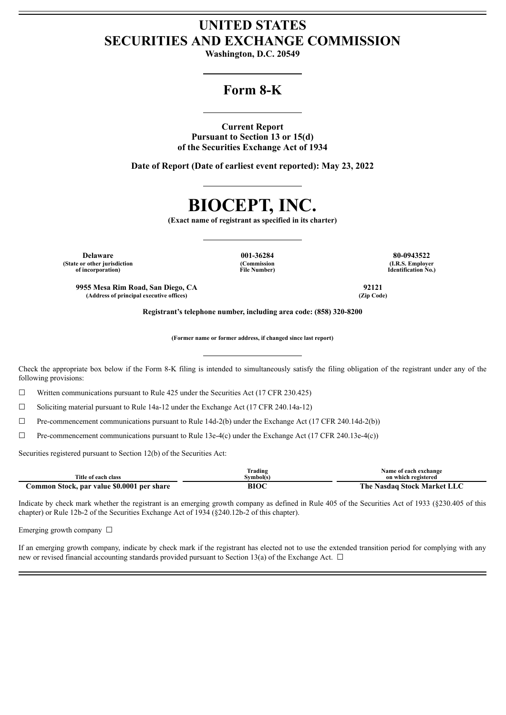# **UNITED STATES SECURITIES AND EXCHANGE COMMISSION**

**Washington, D.C. 20549**

# **Form 8-K**

**Current Report Pursuant to Section 13 or 15(d) of the Securities Exchange Act of 1934**

**Date of Report (Date of earliest event reported): May 23, 2022**

# **BIOCEPT, INC.**

**(Exact name of registrant as specified in its charter)**

**Delaware 001-36284 80-0943522 (State or other jurisdiction of incorporation)**

**(Commission File Number)** **(I.R.S. Employer Identification No.)**

**9955 Mesa Rim Road, San Diego, CA 92121 (Address of principal executive offices) (Zip Code)**

**Registrant's telephone number, including area code: (858) 320-8200**

**(Former name or former address, if changed since last report)**

Check the appropriate box below if the Form 8-K filing is intended to simultaneously satisfy the filing obligation of the registrant under any of the following provisions:

 $\Box$  Written communications pursuant to Rule 425 under the Securities Act (17 CFR 230.425)

 $\Box$  Soliciting material pursuant to Rule 14a-12 under the Exchange Act (17 CFR 240.14a-12)

☐ Pre-commencement communications pursuant to Rule 14d-2(b) under the Exchange Act (17 CFR 240.14d-2(b))

☐ Pre-commencement communications pursuant to Rule 13e-4(c) under the Exchange Act (17 CFR 240.13e-4(c))

Securities registered pursuant to Section 12(b) of the Securities Act:

|                                            | Frading   | Name of each exchange       |
|--------------------------------------------|-----------|-----------------------------|
| Title of each class                        | Svmbol(s) | on which registered         |
| Common Stock, par value \$0.0001 per share | BIOC      | The Nasdaq Stock Market LLC |

Indicate by check mark whether the registrant is an emerging growth company as defined in Rule 405 of the Securities Act of 1933 (§230.405 of this chapter) or Rule 12b-2 of the Securities Exchange Act of 1934 (§240.12b-2 of this chapter).

Emerging growth company  $\Box$ 

If an emerging growth company, indicate by check mark if the registrant has elected not to use the extended transition period for complying with any new or revised financial accounting standards provided pursuant to Section 13(a) of the Exchange Act.  $\Box$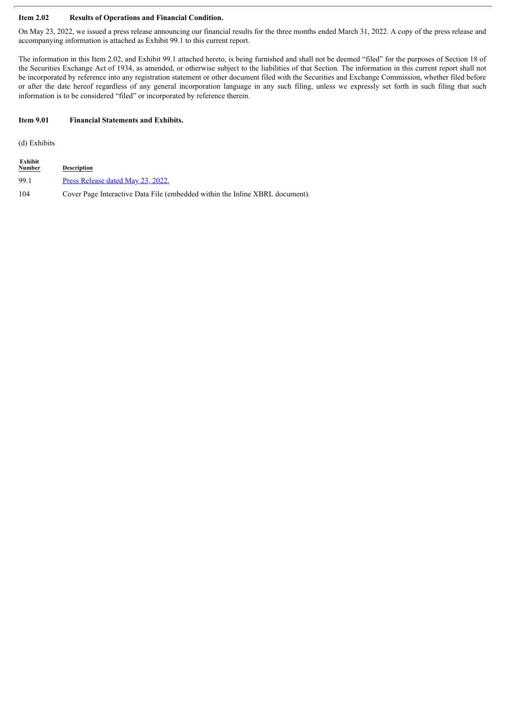# **Item 2.02 Results of Operations and Financial Condition.**

On May 23, 2022, we issued a press release announcing our financial results for the three months ended March 31, 2022. A copy of the press release and accompanying information is attached as Exhibit 99.1 to this current report.

The information in this Item 2.02, and Exhibit 99.1 attached hereto, is being furnished and shall not be deemed "filed" for the purposes of Section 18 of the Securities Exchange Act of 1934, as amended, or otherwise subject to the liabilities of that Section. The information in this current report shall not be incorporated by reference into any registration statement or other document filed with the Securities and Exchange Commission, whether filed before or after the date hereof regardless of any general incorporation language in any such filing, unless we expressly set forth in such filing that such information is to be considered "filed" or incorporated by reference therein.

# **Item 9.01 Financial Statements and Exhibits.**

(d) Exhibits

| Exhibit<br><b>Number</b> | <b>Description</b>                                                           |
|--------------------------|------------------------------------------------------------------------------|
| 99.1                     | Press Release dated May 23, 2022.                                            |
| 104                      | Cover Page Interactive Data File (embedded within the Inline XBRL document). |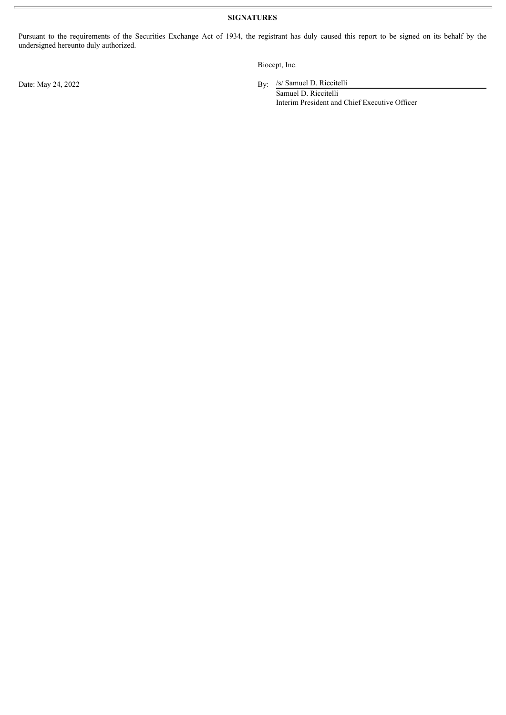**SIGNATURES**

Pursuant to the requirements of the Securities Exchange Act of 1934, the registrant has duly caused this report to be signed on its behalf by the undersigned hereunto duly authorized.

Biocept, Inc.

By: /s/ Samuel D. Riccitelli

Samuel D. Riccitelli Interim President and Chief Executive Officer

Date: May 24, 2022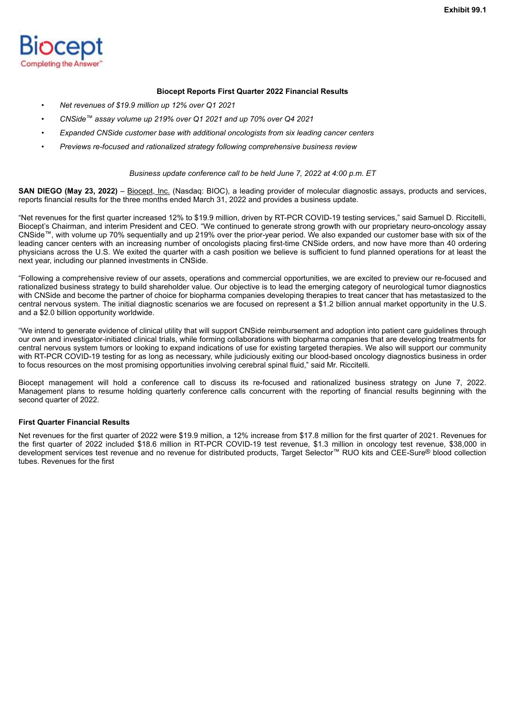<span id="page-3-0"></span>

## **Biocept Reports First Quarter 2022 Financial Results**

- *Net revenues of \$19.9 million up 12% over Q1 2021*
- *CNSide™ assay volume up 219% over Q1 2021 and up 70% over Q4 2021*
- *Expanded CNSide customer base with additional oncologists from six leading cancer centers*
- *Previews re-focused and rationalized strategy following comprehensive business review*

#### *Business update conference call to be held June 7, 2022 at 4:00 p.m. ET*

**SAN DIEGO (May 23, 2022)** – Biocept, Inc. (Nasdaq: BIOC), a leading provider of molecular diagnostic assays, products and services, reports financial results for the three months ended March 31, 2022 and provides a business update.

"Net revenues for the first quarter increased 12% to \$19.9 million, driven by RT-PCR COVID-19 testing services," said Samuel D. Riccitelli, Biocept's Chairman, and interim President and CEO. "We continued to generate strong growth with our proprietary neuro-oncology assay CNSide™, with volume up 70% sequentially and up 219% over the prior-year period. We also expanded our customer base with six of the leading cancer centers with an increasing number of oncologists placing first-time CNSide orders, and now have more than 40 ordering physicians across the U.S. We exited the quarter with a cash position we believe is sufficient to fund planned operations for at least the next year, including our planned investments in CNSide.

"Following a comprehensive review of our assets, operations and commercial opportunities, we are excited to preview our re-focused and rationalized business strategy to build shareholder value. Our objective is to lead the emerging category of neurological tumor diagnostics with CNSide and become the partner of choice for biopharma companies developing therapies to treat cancer that has metastasized to the central nervous system. The initial diagnostic scenarios we are focused on represent a \$1.2 billion annual market opportunity in the U.S. and a \$2.0 billion opportunity worldwide.

"We intend to generate evidence of clinical utility that will support CNSide reimbursement and adoption into patient care guidelines through our own and investigator-initiated clinical trials, while forming collaborations with biopharma companies that are developing treatments for central nervous system tumors or looking to expand indications of use for existing targeted therapies. We also will support our community with RT-PCR COVID-19 testing for as long as necessary, while judiciously exiting our blood-based oncology diagnostics business in order to focus resources on the most promising opportunities involving cerebral spinal fluid," said Mr. Riccitelli.

Biocept management will hold a conference call to discuss its re-focused and rationalized business strategy on June 7, 2022. Management plans to resume holding quarterly conference calls concurrent with the reporting of financial results beginning with the second quarter of 2022.

## **First Quarter Financial Results**

Net revenues for the first quarter of 2022 were \$19.9 million, a 12% increase from \$17.8 million for the first quarter of 2021. Revenues for the first quarter of 2022 included \$18.6 million in RT-PCR COVID-19 test revenue, \$1.3 million in oncology test revenue, \$38,000 in development services test revenue and no revenue for distributed products, Target Selector™ RUO kits and CEE-Sure® blood collection tubes. Revenues for the first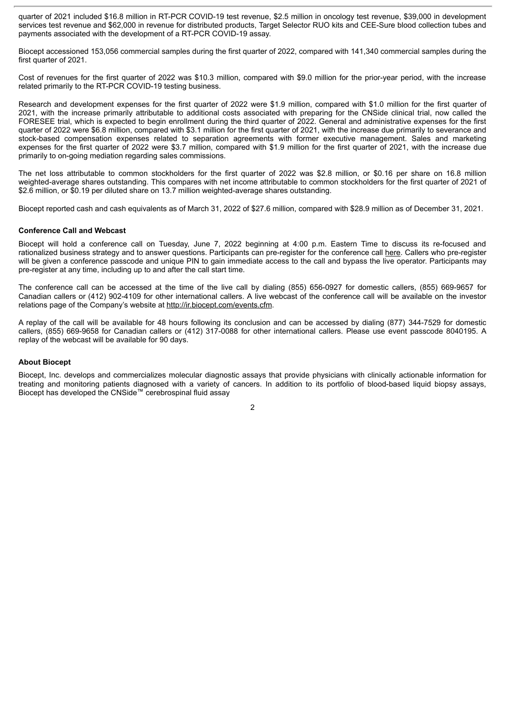quarter of 2021 included \$16.8 million in RT-PCR COVID-19 test revenue, \$2.5 million in oncology test revenue, \$39,000 in development services test revenue and \$62,000 in revenue for distributed products, Target Selector RUO kits and CEE-Sure blood collection tubes and payments associated with the development of a RT-PCR COVID-19 assay.

Biocept accessioned 153,056 commercial samples during the first quarter of 2022, compared with 141,340 commercial samples during the first quarter of 2021.

Cost of revenues for the first quarter of 2022 was \$10.3 million, compared with \$9.0 million for the prior-year period, with the increase related primarily to the RT-PCR COVID-19 testing business.

Research and development expenses for the first quarter of 2022 were \$1.9 million, compared with \$1.0 million for the first quarter of 2021, with the increase primarily attributable to additional costs associated with preparing for the CNSide clinical trial, now called the FORESEE trial, which is expected to begin enrollment during the third quarter of 2022. General and administrative expenses for the first quarter of 2022 were \$6.8 million, compared with \$3.1 million for the first quarter of 2021, with the increase due primarily to severance and stock-based compensation expenses related to separation agreements with former executive management. Sales and marketing expenses for the first quarter of 2022 were \$3.7 million, compared with \$1.9 million for the first quarter of 2021, with the increase due primarily to on-going mediation regarding sales commissions.

The net loss attributable to common stockholders for the first quarter of 2022 was \$2.8 million, or \$0.16 per share on 16.8 million weighted-average shares outstanding. This compares with net income attributable to common stockholders for the first quarter of 2021 of \$2.6 million, or \$0.19 per diluted share on 13.7 million weighted-average shares outstanding.

Biocept reported cash and cash equivalents as of March 31, 2022 of \$27.6 million, compared with \$28.9 million as of December 31, 2021.

#### **Conference Call and Webcast**

Biocept will hold a conference call on Tuesday, June 7, 2022 beginning at 4:00 p.m. Eastern Time to discuss its re-focused and rationalized business strategy and to answer questions. Participants can pre-register for the conference call here. Callers who pre-register will be given a conference passcode and unique PIN to gain immediate access to the call and bypass the live operator. Participants may pre-register at any time, including up to and after the call start time.

The conference call can be accessed at the time of the live call by dialing (855) 656-0927 for domestic callers, (855) 669-9657 for Canadian callers or (412) 902-4109 for other international callers. A live webcast of the conference call will be available on the investor relations page of the Company's website at http://ir.biocept.com/events.cfm.

A replay of the call will be available for 48 hours following its conclusion and can be accessed by dialing (877) 344-7529 for domestic callers, (855) 669-9658 for Canadian callers or (412) 317-0088 for other international callers. Please use event passcode 8040195. A replay of the webcast will be available for 90 days.

#### **About Biocept**

Biocept, Inc. develops and commercializes molecular diagnostic assays that provide physicians with clinically actionable information for treating and monitoring patients diagnosed with a variety of cancers. In addition to its portfolio of blood-based liquid biopsy assays, Biocept has developed the CNSide™ cerebrospinal fluid assay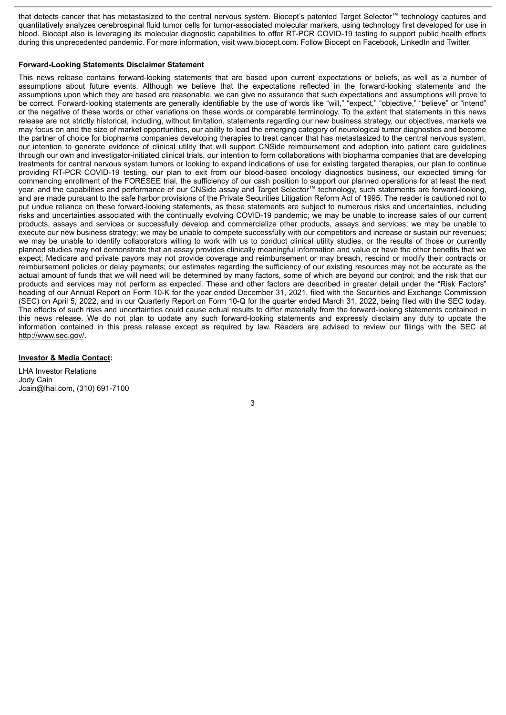that detects cancer that has metastasized to the central nervous system. Biocept's patented Target Selector™ technology captures and quantitatively analyzes cerebrospinal fluid tumor cells for tumor-associated molecular markers, using technology first developed for use in blood. Biocept also is leveraging its molecular diagnostic capabilities to offer RT-PCR COVID-19 testing to support public health efforts during this unprecedented pandemic. For more information, visit www.biocept.com. Follow Biocept on Facebook, LinkedIn and Twitter.

## **Forward-Looking Statements Disclaimer Statement**

This news release contains forward-looking statements that are based upon current expectations or beliefs, as well as a number of assumptions about future events. Although we believe that the expectations reflected in the forward-looking statements and the assumptions upon which they are based are reasonable, we can give no assurance that such expectations and assumptions will prove to be correct. Forward-looking statements are generally identifiable by the use of words like "will," "expect," "objective," "believe" or "intend" or the negative of these words or other variations on these words or comparable terminology. To the extent that statements in this news release are not strictly historical, including, without limitation, statements regarding our new business strategy, our objectives, markets we may focus on and the size of market opportunities, our ability to lead the emerging category of neurological tumor diagnostics and become the partner of choice for biopharma companies developing therapies to treat cancer that has metastasized to the central nervous system, our intention to generate evidence of clinical utility that will support CNSide reimbursement and adoption into patient care guidelines through our own and investigator-initiated clinical trials, our intention to form collaborations with biopharma companies that are developing treatments for central nervous system tumors or looking to expand indications of use for existing targeted therapies, our plan to continue providing RT-PCR COVID-19 testing, our plan to exit from our blood-based oncology diagnostics business, our expected timing for commencing enrollment of the FORESEE trial, the sufficiency of our cash position to support our planned operations for at least the next year, and the capabilities and performance of our CNSide assay and Target Selector™ technology, such statements are forward-looking, and are made pursuant to the safe harbor provisions of the Private Securities Litigation Reform Act of 1995. The reader is cautioned not to put undue reliance on these forward-looking statements, as these statements are subject to numerous risks and uncertainties, including risks and uncertainties associated with the continually evolving COVID-19 pandemic; we may be unable to increase sales of our current products, assays and services or successfully develop and commercialize other products, assays and services; we may be unable to execute our new business strategy; we may be unable to compete successfully with our competitors and increase or sustain our revenues; we may be unable to identify collaborators willing to work with us to conduct clinical utility studies, or the results of those or currently planned studies may not demonstrate that an assay provides clinically meaningful information and value or have the other benefits that we expect; Medicare and private payors may not provide coverage and reimbursement or may breach, rescind or modify their contracts or reimbursement policies or delay payments; our estimates regarding the sufficiency of our existing resources may not be accurate as the actual amount of funds that we will need will be determined by many factors, some of which are beyond our control; and the risk that our products and services may not perform as expected. These and other factors are described in greater detail under the "Risk Factors" heading of our Annual Report on Form 10-K for the year ended December 31, 2021, filed with the Securities and Exchange Commission (SEC) on April 5, 2022, and in our Quarterly Report on Form 10-Q for the quarter ended March 31, 2022, being filed with the SEC today. The effects of such risks and uncertainties could cause actual results to differ materially from the forward-looking statements contained in this news release. We do not plan to update any such forward-looking statements and expressly disclaim any duty to update the information contained in this press release except as required by law. Readers are advised to review our filings with the SEC at http://www.sec.gov/.

#### **Investor & Media Contact:**

LHA Investor Relations Jody Cain Jcain@lhai.com, (310) 691-7100

3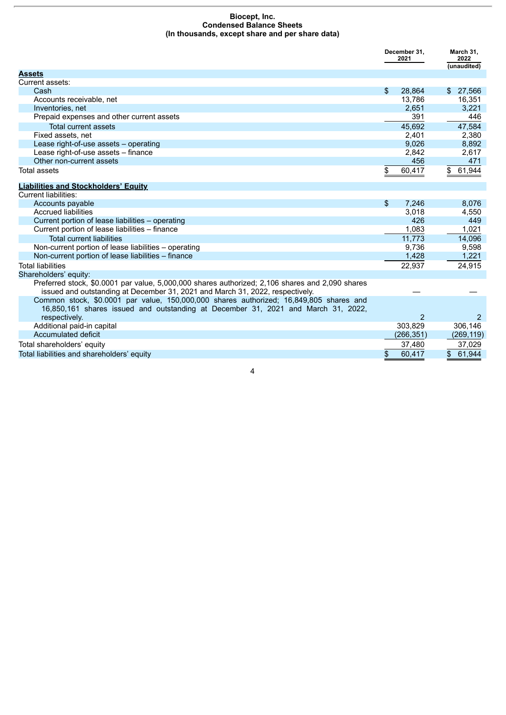#### **Biocept, Inc. Condensed Balance Sheets (In thousands, except share and per share data)**

|                                                                                                                                                                                  | December 31,<br>2021 |            | March 31,<br>2022<br>(unaudited)  |  |
|----------------------------------------------------------------------------------------------------------------------------------------------------------------------------------|----------------------|------------|-----------------------------------|--|
| <b>Assets</b>                                                                                                                                                                    |                      |            |                                   |  |
| Current assets:                                                                                                                                                                  |                      |            |                                   |  |
| Cash                                                                                                                                                                             | $\mathfrak{L}$       | 28,864     | \$27,566                          |  |
| Accounts receivable, net                                                                                                                                                         |                      | 13.786     | 16,351                            |  |
| Inventories, net                                                                                                                                                                 |                      | 2,651      | 3,221                             |  |
| Prepaid expenses and other current assets                                                                                                                                        |                      | 391        | 446                               |  |
| <b>Total current assets</b>                                                                                                                                                      |                      | 45,692     | 47,584                            |  |
| Fixed assets, net                                                                                                                                                                |                      | 2,401      | 2,380                             |  |
| Lease right-of-use assets - operating                                                                                                                                            |                      | 9,026      | 8,892                             |  |
| Lease right-of-use assets - finance                                                                                                                                              |                      | 2,842      | 2,617                             |  |
| Other non-current assets                                                                                                                                                         |                      | 456        | 471                               |  |
| <b>Total assets</b>                                                                                                                                                              | \$                   | 60,417     | 61,944<br>\$                      |  |
| <b>Liabilities and Stockholders' Equity</b>                                                                                                                                      |                      |            |                                   |  |
| <b>Current liabilities:</b>                                                                                                                                                      |                      |            |                                   |  |
| Accounts payable                                                                                                                                                                 | \$                   | 7,246      | 8,076                             |  |
| <b>Accrued liabilities</b>                                                                                                                                                       |                      | 3,018      | 4,550                             |  |
| Current portion of lease liabilities - operating                                                                                                                                 |                      | 426        | 449                               |  |
| Current portion of lease liabilities - finance                                                                                                                                   |                      | 1,083      | 1,021                             |  |
| <b>Total current liabilities</b>                                                                                                                                                 |                      | 11,773     | 14,096                            |  |
| Non-current portion of lease liabilities - operating                                                                                                                             |                      | 9,736      | 9,598                             |  |
| Non-current portion of lease liabilities - finance                                                                                                                               |                      | 1,428      | 1,221                             |  |
| <b>Total liabilities</b>                                                                                                                                                         |                      | 22,937     | 24.915                            |  |
| Shareholders' equity:                                                                                                                                                            |                      |            |                                   |  |
| Preferred stock, \$0.0001 par value, 5,000,000 shares authorized; 2,106 shares and 2,090 shares<br>issued and outstanding at December 31, 2021 and March 31, 2022, respectively. |                      |            |                                   |  |
| Common stock, \$0.0001 par value, 150,000,000 shares authorized; 16,849,805 shares and<br>16,850,161 shares issued and outstanding at December 31, 2021 and March 31, 2022,      |                      |            |                                   |  |
| respectively.                                                                                                                                                                    |                      | 2          | 2                                 |  |
| Additional paid-in capital                                                                                                                                                       |                      | 303,829    | 306,146                           |  |
| Accumulated deficit                                                                                                                                                              |                      | (266, 351) | (269, 119)                        |  |
| Total shareholders' equity                                                                                                                                                       |                      | 37,480     | 37,029                            |  |
| Total liabilities and shareholders' equity                                                                                                                                       | \$                   | 60,417     | $\sqrt[6]{\frac{1}{2}}$<br>61,944 |  |
| 4                                                                                                                                                                                |                      |            |                                   |  |